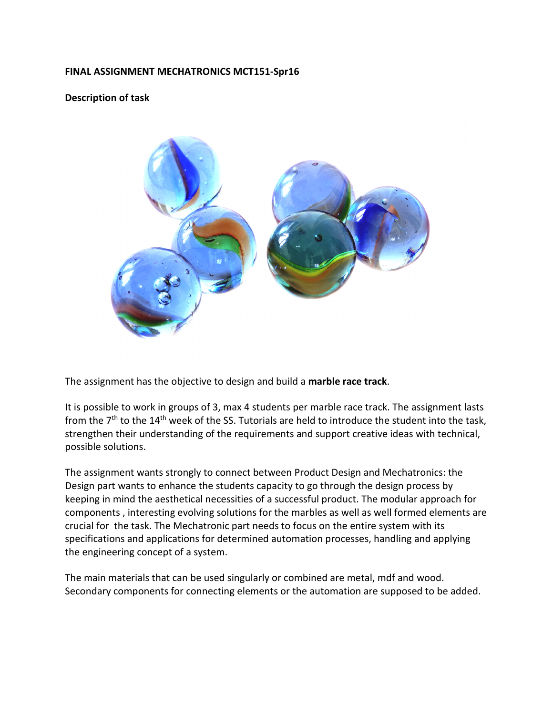## FINAL ASSIGNMENT MECHATRONICS MCT151-Spr16

## Description of task



The assignment has the objective to design and build a marble race track.

It is possible to work in groups of 3, max 4 students per marble race track. The assignment lasts from the  $7<sup>th</sup>$  to the 14<sup>th</sup> week of the SS. Tutorials are held to introduce the student into the task, strengthen their understanding of the requirements and support creative ideas with technical, possible solutions.

The assignment wants strongly to connect between Product Design and Mechatronics: the Design part wants to enhance the students capacity to go through the design process by keeping in mind the aesthetical necessities of a successful product. The modular approach for components , interesting evolving solutions for the marbles as well as well formed elements are crucial for the task. The Mechatronic part needs to focus on the entire system with its specifications and applications for determined automation processes, handling and applying the engineering concept of a system.

The main materials that can be used singularly or combined are metal, mdf and wood. Secondary components for connecting elements or the automation are supposed to be added.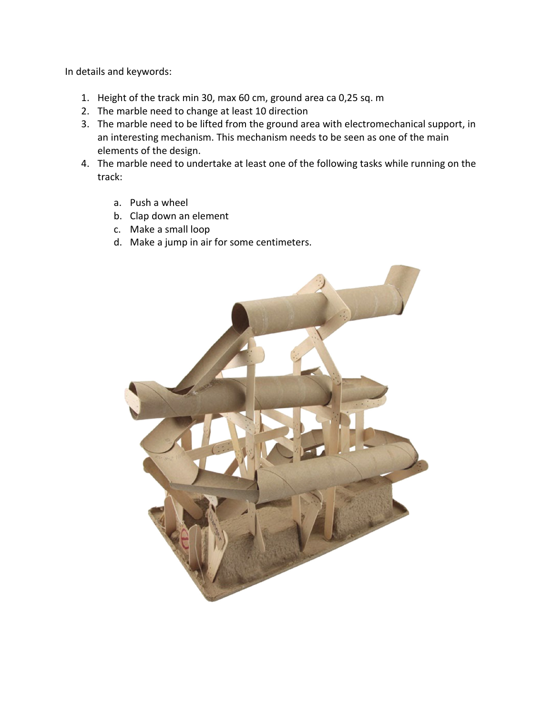In details and keywords:

- 1. Height of the track min 30, max 60 cm, ground area ca 0,25 sq. m
- 2. The marble need to change at least 10 direction
- 3. The marble need to be lifted from the ground area with electromechanical support, in an interesting mechanism. This mechanism needs to be seen as one of the main elements of the design.
- 4. The marble need to undertake at least one of the following tasks while running on the track:
	- a. Push a wheel
	- b. Clap down an element
	- c. Make a small loop
	- d. Make a jump in air for some centimeters.